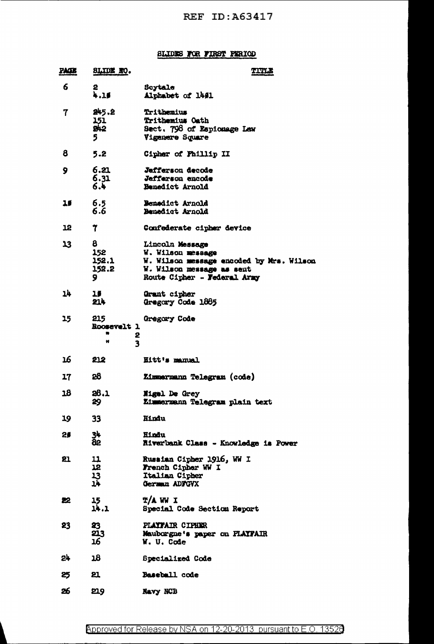## SLIDES FOR FIRST PERIOD

| <u>PACE</u> | SLIDE NO.                                                    | <b>TITLE</b>                                                                                                                                 |
|-------------|--------------------------------------------------------------|----------------------------------------------------------------------------------------------------------------------------------------------|
| 6           | 2.<br>4.15                                                   | Scytale<br>Alphabet of 14#1                                                                                                                  |
| 7           | 245.2<br>151<br>B42<br>5                                     | Trithemius<br>Trithemius Oath<br>Sect. 798 of Espionage Lew<br>Vigenere Square                                                               |
| 8           | 5.2                                                          | Cipher of Phillip II                                                                                                                         |
| 9           | 6.21<br>6.31<br>6.4                                          | Jefferson decode<br>Jefferson encode<br>Benedict Arnold                                                                                      |
| 15          | 6.5<br>$6.\overline{6}$                                      | Benedict Arnold<br>Benedict Arnold                                                                                                           |
| 12          | 7                                                            | Confederate cipher device                                                                                                                    |
| 13          | 8<br>152<br>152.1<br>152.2<br>9.                             | Lincoln Message<br>W. Wilson message<br>W. Wilson message encoded by Mrs. Wilson<br>W. Wilson message as sent<br>Route Cipher - Federal Army |
| 14.         | 15<br>214                                                    | Grant cipher<br>Gregory Code 1885                                                                                                            |
| 15          | 215<br>Roosevelt 1<br>۰<br>2<br>$\overline{\mathbf{3}}$<br>₩ | Gregory Code                                                                                                                                 |
| 16          | 212                                                          | Hitt's manual                                                                                                                                |
| 17          | 28                                                           | Zimmermann Telegram (code)                                                                                                                   |
| 18          | 28.1<br>29                                                   | Migul De Grey<br>Zimmermann Telegram plain text                                                                                              |
| 19          | 33                                                           | Hindu                                                                                                                                        |
| 29          | 34<br>82                                                     | Hindu<br><b>Riverbank Class - Knowledge is Power</b>                                                                                         |
| 21          | 1223                                                         | Russian Cipher 1916, WW I<br>French Cipher WW I<br>Italian Cipher<br>German ADFGVX                                                           |
| 22.         | 15<br>14.1                                                   | <b>T/A WW I</b><br>Special Code Section Report                                                                                               |
| 23          | 23<br>213<br>16                                              | PLAYFAIR CIPHER<br>Mauborgne's paper on PLAYPAIR<br>W. U. Code                                                                               |
| 24          | 18                                                           | Specialized Code                                                                                                                             |
| 25          | 21                                                           | Baseball code                                                                                                                                |
| 26          | 219                                                          | Navy NCB                                                                                                                                     |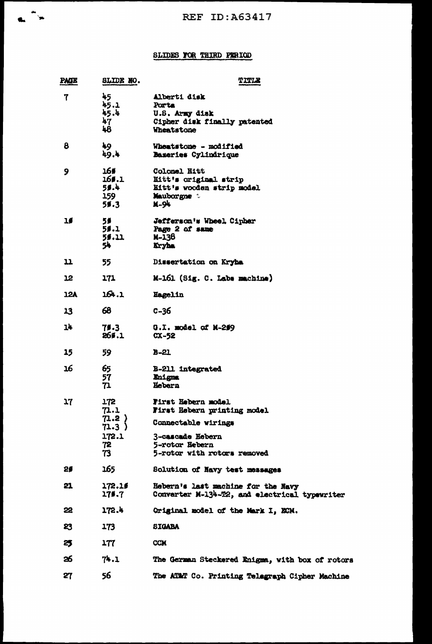## SLIDES FOR THIRD PERIOD

| <b>PAGE</b> | SLIDE NO.                                          | TITLE                                                                                                                                         |
|-------------|----------------------------------------------------|-----------------------------------------------------------------------------------------------------------------------------------------------|
| 7           | 45<br>45.1<br>45.4<br>47<br>48                     | Alberti disk<br>Porta<br>U.S. Army disk<br>Cipher disk finally patented<br><b>Wheatstone</b>                                                  |
| 8           | 49<br>49.4                                         | Wheatstone - modified<br>Bazeries Cylindrique                                                                                                 |
| 9           | 16#<br>166.1<br>59.4<br>159<br>51.3                | Colonel Hitt<br>Hitt's original strip<br>Hitt's wooden strip model<br>Mauborgne :<br><b>M-94</b>                                              |
| 10          | 56<br>59.1<br>5\$.11<br>54                         | Jefferson's Wheel, Cipher<br>Page 2 of same<br>M-138<br>Kryha                                                                                 |
| 11          | 55.                                                | Dissertation on Kryha                                                                                                                         |
| 12          | 171                                                | M-161 (Sig. C. Labs machine)                                                                                                                  |
| <b>12A</b>  | 164.1                                              | Hagelin                                                                                                                                       |
| 13          | 68                                                 | $C - 36$                                                                                                                                      |
| 14          | 75.3<br>269.1                                      | $0.1.$ model of $M-209$<br>$CX-52$                                                                                                            |
| 15          | 59                                                 | $B - 21$                                                                                                                                      |
| 16          | 65<br>57<br>71                                     | <b>B-211 integrated</b><br>Enigma<br>Hebern                                                                                                   |
| 17          | 172<br>71.1<br>71.2)<br>71.3)<br>172.1<br>72<br>73 | First Hebern model<br>First Rebern printing model<br>Connectable wirings<br>3-cascade Hebern<br>5-rotor Rebern<br>5-rotor with rotors removed |
| 29          | 165                                                | Solution of Navy test messages                                                                                                                |
| 21          | 172.16<br>175.7                                    | Hebern's last machine for the Navy<br>Converter M-134-T2, and electrical typewriter                                                           |
| 22          | 172.4                                              | Original model of the Mark I, ECM.                                                                                                            |
| 23          | 173                                                | <b>SIGABA</b>                                                                                                                                 |
| 25          | 177                                                | <b>CCM</b>                                                                                                                                    |
| జ           | 74.1                                               | The German Steckered Enigma, with box of rotors                                                                                               |
| 27          | 56                                                 | The ATMT Co. Printing Telegraph Cipher Machine                                                                                                |